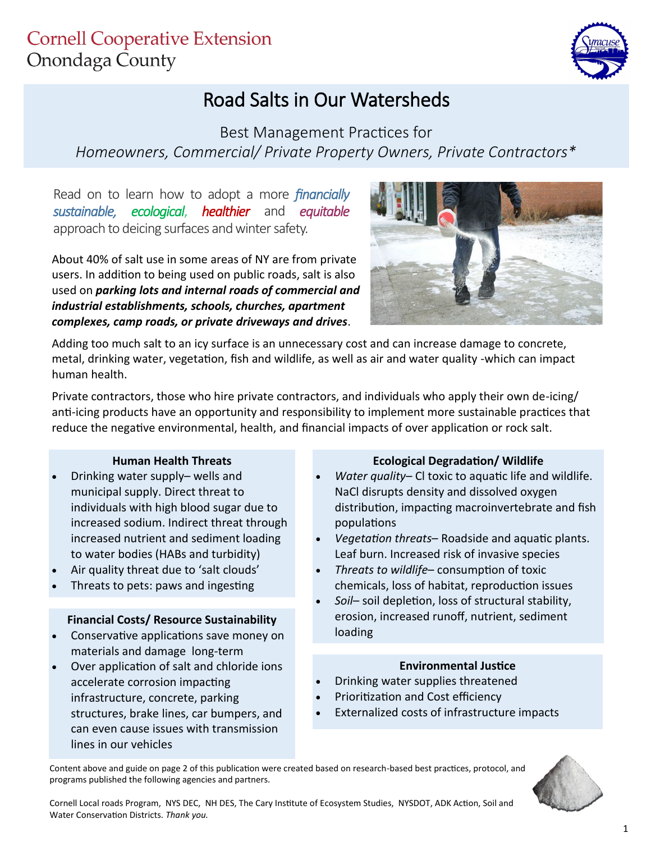

# Road Salts in Our Watersheds

Best Management Practices for *Homeowners, Commercial/ Private Property Owners, Private Contractors\**

Read on to learn how to adopt a more *financially sustainable, ecological*, *healthier* and *equitable*  approach to deicing surfaces and winter safety.

About 40% of salt use in some areas of NY are from private users. In addition to being used on public roads, salt is also used on *parking lots and internal roads of commercial and industrial establishments, schools, churches, apartment complexes, camp roads, or private driveways and drives*.



Adding too much salt to an icy surface is an unnecessary cost and can increase damage to concrete, metal, drinking water, vegetation, fish and wildlife, as well as air and water quality -which can impact human health.

Private contractors, those who hire private contractors, and individuals who apply their own de-icing/ anti-icing products have an opportunity and responsibility to implement more sustainable practices that reduce the negative environmental, health, and financial impacts of over application or rock salt.

#### **Human Health Threats**

- Drinking water supply– wells and municipal supply. Direct threat to individuals with high blood sugar due to increased sodium. Indirect threat through increased nutrient and sediment loading to water bodies (HABs and turbidity)
- Air quality threat due to 'salt clouds'
- Threats to pets: paws and ingesting

#### **Financial Costs/ Resource Sustainability**

- Conservative applications save money on materials and damage long-term
- Over application of salt and chloride ions accelerate corrosion impacting infrastructure, concrete, parking structures, brake lines, car bumpers, and can even cause issues with transmission lines in our vehicles

#### **Ecological Degradation/ Wildlife**

- *Water quality* Cl toxic to aquatic life and wildlife. NaCl disrupts density and dissolved oxygen distribution, impacting macroinvertebrate and fish populations
- *Vegetation threats* Roadside and aquatic plants. Leaf burn. Increased risk of invasive species
- *Threats to wildlife* consumption of toxic chemicals, loss of habitat, reproduction issues
- *Soil–* soil depletion, loss of structural stability, erosion, increased runoff, nutrient, sediment loading

#### **Environmental Justice**

- Drinking water supplies threatened
- Prioritization and Cost efficiency
- Externalized costs of infrastructure impacts

Content above and guide on page 2 of this publication were created based on research-based best practices, protocol, and programs published the following agencies and partners.



Cornell Local roads Program, NYS DEC, NH DES, The Cary Institute of Ecosystem Studies, NYSDOT, ADK Action, Soil and Water Conservation Districts. *Thank you.*